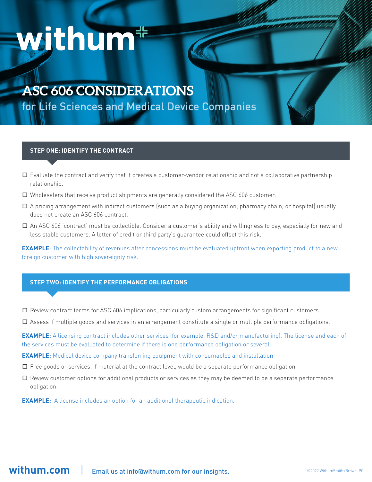# withum<sup>#</sup>

# **ASC 606 CONSIDERATIONS**

for Life Sciences and Medical Device Companies

# **STEP ONE: IDENTIFY THE CONTRACT**

- **□** Evaluate the contract and verify that it creates a customer-vendor relationship and not a collaborative partnership relationship.
- **□** Wholesalers that receive product shipments are generally considered the ASC 606 customer.
- **□** A pricing arrangement with indirect customers (such as a buying organization, pharmacy chain, or hospital) usually does not create an ASC 606 contract.
- **□** An ASC 606 'contract' must be collectible. Consider a customer's ability and willingness to pay, especially for new and less stable customers. A letter of credit or third party's guarantee could offset this risk.

**EXAMPLE**: The collectability of revenues after concessions must be evaluated upfront when exporting product to a new foreign customer with high sovereignty risk.

# **STEP TWO: IDENTIFY THE PERFORMANCE OBLIGATIONS**

- **□** Review contract terms for ASC 606 implications, particularly custom arrangements for significant customers.
- **□** Assess if multiple goods and services in an arrangement constitute a single or multiple performance obligations.

**EXAMPLE**: A licensing contract includes other services (for example, R&D and/or manufacturing). The license and each of the services must be evaluated to determine if there is one performance obligation or several.

**EXAMPLE**: Medical device company transferring equipment with consumables and installation

- **□** Free goods or services, if material at the contract level, would be a separate performance obligation.
- **□** Review customer options for additional products or services as they may be deemed to be a separate performance obligation.

**EXAMPLE**: A license includes an option for an additional therapeutic indication.